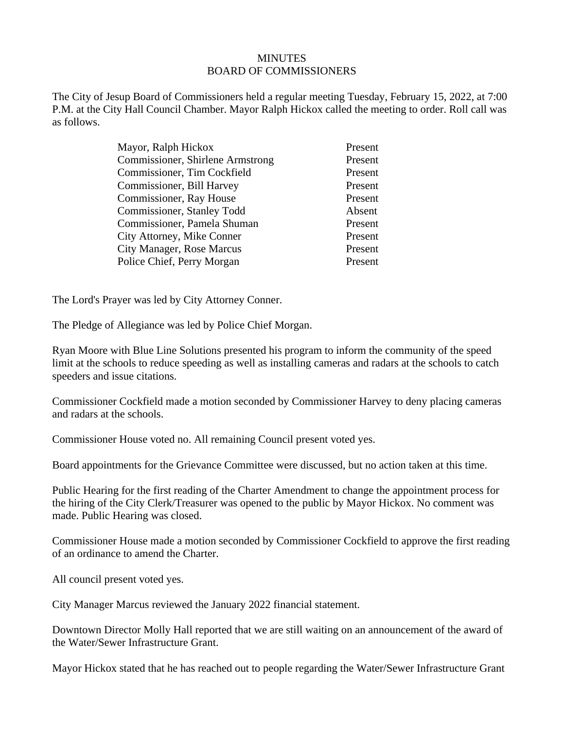## **MINUTES** BOARD OF COMMISSIONERS

The City of Jesup Board of Commissioners held a regular meeting Tuesday, February 15, 2022, at 7:00 P.M. at the City Hall Council Chamber. Mayor Ralph Hickox called the meeting to order. Roll call was as follows.

| Mayor, Ralph Hickox                     | Present |
|-----------------------------------------|---------|
| <b>Commissioner, Shirlene Armstrong</b> | Present |
| Commissioner, Tim Cockfield             | Present |
| Commissioner, Bill Harvey               | Present |
| Commissioner, Ray House                 | Present |
| Commissioner, Stanley Todd              | Absent  |
| Commissioner, Pamela Shuman             | Present |
| City Attorney, Mike Conner              | Present |
| <b>City Manager, Rose Marcus</b>        | Present |
| Police Chief, Perry Morgan              | Present |

The Lord's Prayer was led by City Attorney Conner.

The Pledge of Allegiance was led by Police Chief Morgan.

Ryan Moore with Blue Line Solutions presented his program to inform the community of the speed limit at the schools to reduce speeding as well as installing cameras and radars at the schools to catch speeders and issue citations.

Commissioner Cockfield made a motion seconded by Commissioner Harvey to deny placing cameras and radars at the schools.

Commissioner House voted no. All remaining Council present voted yes.

Board appointments for the Grievance Committee were discussed, but no action taken at this time.

Public Hearing for the first reading of the Charter Amendment to change the appointment process for the hiring of the City Clerk/Treasurer was opened to the public by Mayor Hickox. No comment was made. Public Hearing was closed.

Commissioner House made a motion seconded by Commissioner Cockfield to approve the first reading of an ordinance to amend the Charter.

All council present voted yes.

City Manager Marcus reviewed the January 2022 financial statement.

Downtown Director Molly Hall reported that we are still waiting on an announcement of the award of the Water/Sewer Infrastructure Grant.

Mayor Hickox stated that he has reached out to people regarding the Water/Sewer Infrastructure Grant